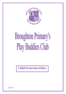

# **Broughton Primary's** Play Buddies Club

**Child Protection Policy**

Sept 2020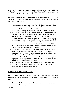Broughton Primary's Play Buddies is committed to promoting the health and welfare of all its pupils, and to following the national and local guidance for the protection of children. This policy applies to everyone who works in club.

The school will follow the All Wales Child Protection Procedures (2008) and follow guidance from Flintshire Local Safeguarding Children's Board (LSCB). In particular the school will:

- Appoint a designated member of staff for child protection who will be trained to Level 2 standard and supported in the task of overseeing all child protection matters within the school.
- Ensure that a named governor for child protection is also appointed.
- Make every member of staff aware of their individual responsibility for the protection of children in their care; ensure that everyone knows the name and role of the designated teacher and governor.
- Arrange basic Level 1 training for all staff in child protection basic awareness, will include what to do if they are worried about a child and how to respond to a child who makes an allegation.
- Maintain an accurate record-keeping system to monitor all children about whom concerns have been expressed, whether or not these concerns lead to a child protection referral.
- Ensure that all staff, and all volunteers who have substantial contact with children, have undergone DBS checks at the appropriate level.
- Develop effective links with other agencies, such as Social Services for Children, Police and Health and contribute to inter-agency enquiries, child protection conferences and other related groups as appropriate. Club reports to be submitted to all CP conferences irrespective whether staff attend or not.
- Make parents aware of the club's responsibilities in child protection.
- Fulfil any special responsibilities or tasks required in the care of children on the child protection register.

# **PROMOTING A PROTECTIVE ETHOS**

The staff training and daily practice of club seek to create a protective ethos where risk to the personal safety of children, particularly the risk of abuse, is minimised.

• The club will also encourage working practices that will protect club from misunderstanding or malicious accusations.

Sept 2020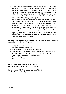- If club staff become concerned about a possible risk to the health and welfare of a pupil, the school will work as much as possible in partnership with parents. However, current All Wales Child Protection Procedures will be followed, and where appropriate, the school will have to share its concern with Social Services. We hope parents share this philosophy and accept that School will not act maliciously or thoughtlessly in this regard.
- The club recognises the importance of high self-esteem and selfconfidence in keeping children safe. The club activities designed to promote the well-being of the children and give them personal safety information that is appropriate to their ages and levels of development. The increased vulnerability of special needs children, and those who have been bullied or isolated by their peers, is recognised. The club seeks to support those children who may be especially vulnerable to abuse through sensitive monitoring and by ensuring that all children have around them a network of people they can go to for help when necessary.

# **The school also has policies in related areas that might be useful to read in conjunction with this one. They are:-**

- Safeguarding Policy
- Wales Safeguarding Procedures 2020
- Flintshire Child Protection Procedures Handout.
- Code of Conduct for teachers regarding their behaviour with pupils, including guidance on physical restraint through the LEA recommended programme Anti-bullying Policy
- Behaviour Policy.
- Additional Needs Policy.

# **The designated Child Protection Officers are The registered person Mrs Kendrick Headteacher,**

**The designated Child Protection committee officer is:- Mrs Jan Bibby registered person**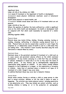## *DEFINITIONS*

#### *Significant Harm*

**Under s31 (9) of the children Act 1989:**

*harm* **means ill treatment or the impairment of health or development;**

*development* **means physical, intellectual, emotional, social or behavioural development;**

**health means physical or mental health; and**

*ill treatment* **includes sexual abuse and forms of ill treatment which are not physical.**

**Under s31(10) of the Act:**

**Where the question of whether the harm suffered by a child is significant turns on the child's health and development, his health or development shall be compared with that which could reasonably be expected of a similar child.**

*(Working together 2000)***.**

#### *Physical Abuse*

**Physical abuse may involve hitting, shaking, throwing, poisoning, burning or scalding, drowning, suffocating, or otherwise causing physical harm to a child. Physical harm can also be caused when a parent or carer feigns the symptoms of, or deliberately causes ill health in and to a child whom they are looking after. (The situation is most recently described using the term fabricated or induced illness by carer).**

## *Emotional Abuse*

**Emotional abuse is the persistent emotional ill treatment of a child such as to cause severe and persistent adverse effects on the child's emotional development. It may involve conveying to a child that they are worthless or unloved, inadequate or valued only in so far as they meet the needs of another person. It may feature age or developmentally inappropriate expectations being imposed on children. It may involve causing children frequently to feel frightened or in danger, or the exploitation or corruption of children. Some level of emotional abuse is involved in all types of ill treatment of a child, though it may occur alone.**

**In addition Emotional Abuse may occur due to Domestic Violence**

## *Sexual Abuse*

**Sexual abuse involves forcing or enticing a child or young person to take part in sexual activities, whether or not the child is aware of what is happening. The activities may involve physical contact, including penetrative or non-penetrative acts. They may include non contact activities, such as involving children in looking at, or in the production of, pornographic** 

Sept 2020